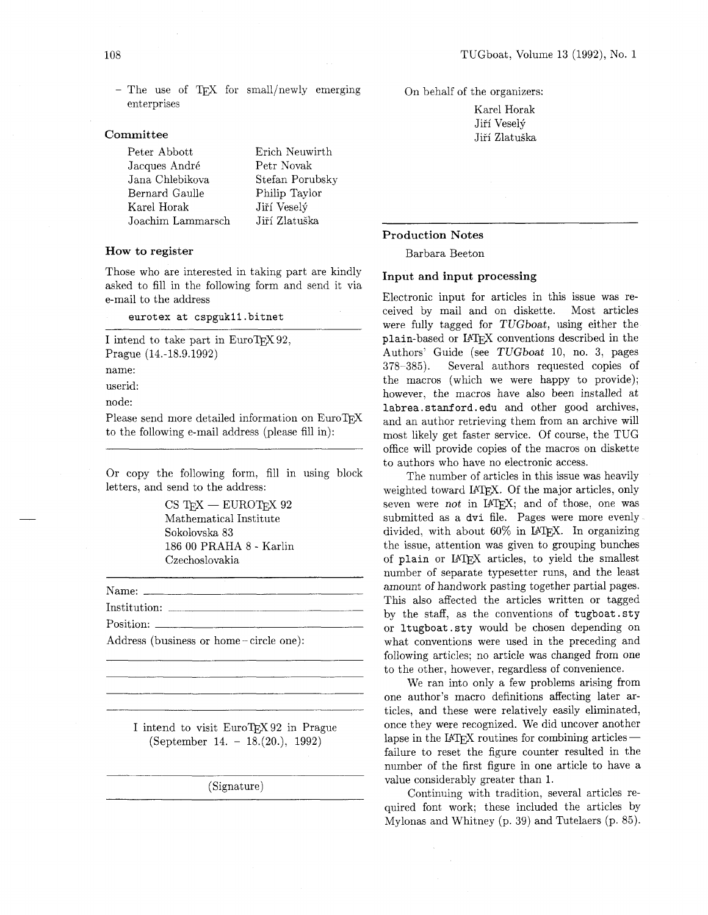- The use of TEX for small/newly emerging enterprises

#### **Committee**

Peter Abbott Erich Neuwirth Jacques André Petr Novak Jana Chlebikova Stefan Porubsky Bernard Gaulle Philip Taylor Karel Horak Jiří Veselý Joachim Lammarsch Jiří Zlatuška

#### **How to register**

Those who are interested in taking part are kindly asked to fill in the following form and send it via e-mail to the address

eurotex at cspgukll . bitnet

I intend to take part in  $EuroTrX 92$ , Prague (14.-18.9.1992)

name:

userid:

node:

Please send more detailed information on EuroTFX to the following e-mail address (please fill in):

Or copy the following form, fill in using block letters, and send to the address:

> $CS$  T<sub>F</sub>X  $-$  EUROT<sub>F</sub>X 92 Mathematical Institute Sokolovska 83 186 00 PRAHA 8 - Karlin Czechoslovakia

Name: Institution: Position:

Address (business or home - circle one):

I intend to visit EuroTFX 92 in Prague (September 14. - 18.(20.), 1992)

(Signature)

On behalf of the organizers:

Karel Horak Jiří Veselý Jiří Zlatuška

#### **Production Notes**

Barbara Beeton

## **Input and input processing**

Electronic input for articles in this issue was received by mail and on diskette. Most articles were fully tagged for TUGboat, using either the plain-based or IATFX conventions described in the Authors' Guide (see TUGboat 10, no. 3, pages 378-385). Several authors requested copies of the macros (which we were happy to provide); however, the macros have also been installed at labrea.stanford.edu and other good archives, and an author retrieving them from an archive will most likely get faster service. Of course, the TUG office will provide copies of the macros on diskette to authors who have no electronic access.

The number of articles in this issue was heavily weighted toward IATEX. Of the major articles, only seven were not in IATFX; and of those, one was submitted as a dvi file. Pages were more evenly divided, with about  $60\%$  in LATFX. In organizing the issue, attention was given to grouping bunches of plain or IATFX articles, to yield the smallest number of separate typesetter runs, and the least amount of handwork pasting together partial pages. This also affected the articles written or tagged by the staff, as the conventions of tugboat. sty or ltugboat .sty would be chosen depending on what conventions were used in the preceding and following articles: no article was changed from one to the other, however, regardless of convenience.

We ran into only a few problems arising from one author's macro definitions affecting later articles, and these were relatively easily eliminated, once they were recognized. We did uncover another lapse in the IATFX routines for combining articles $$ failure to reset the figure counter resulted in the number of the first figure in one article to have a value considerably greater than 1.

Continuing with tradition, several articles required font work; these included the articles by Mylonas and Whitney (p. 39) and Tutelaers (p. 85).